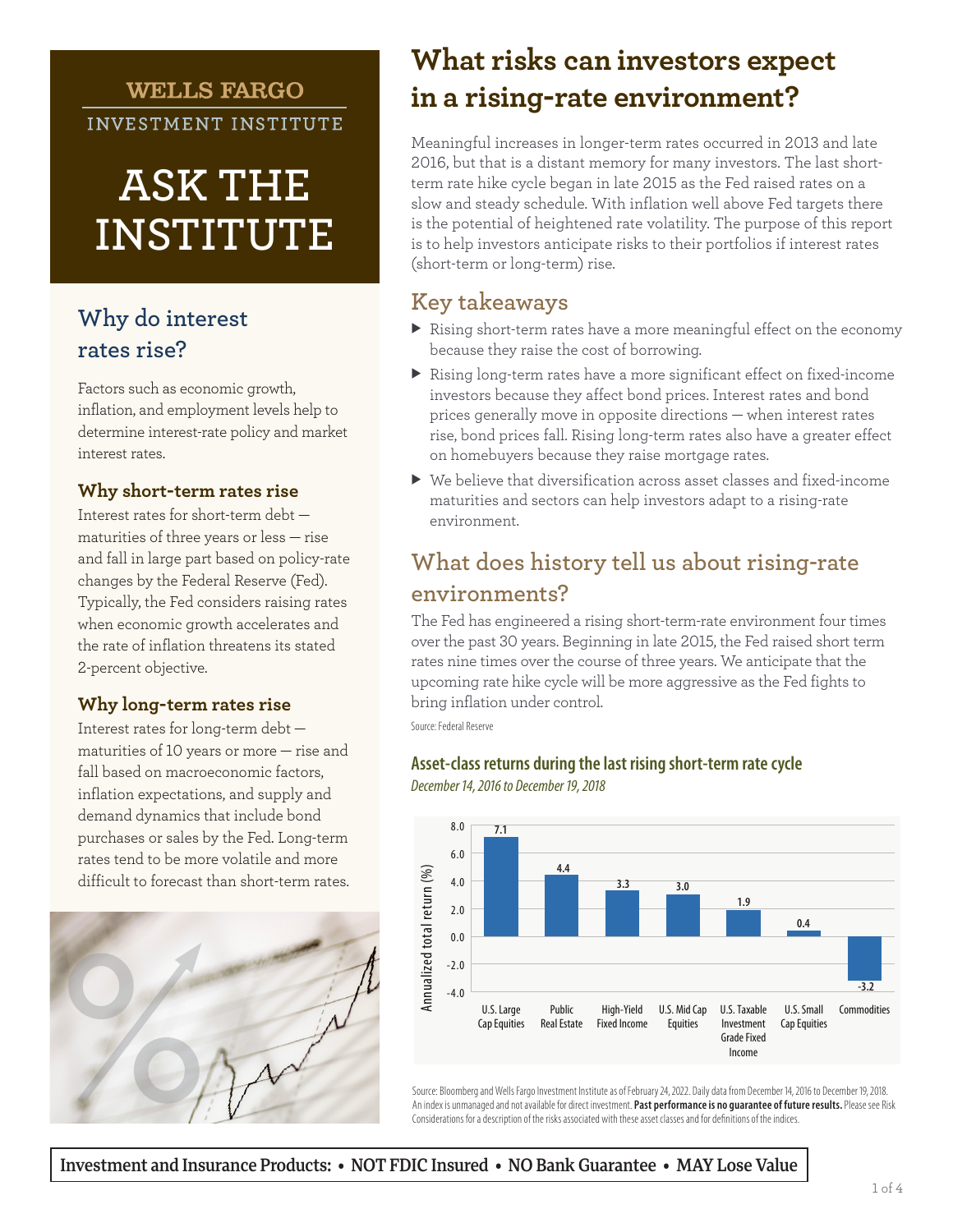## **WELLS FARGO**

INVESTMENT INSTITUTE

# **ASK THE INSTITUTE**

## **Why do interest rates rise?**

Factors such as economic growth, inflation, and employment levels help to determine interest-rate policy and market interest rates.

#### **Why short-term rates rise**

Interest rates for short-term debt maturities of three years or less — rise and fall in large part based on policy-rate changes by the Federal Reserve (Fed). Typically, the Fed considers raising rates when economic growth accelerates and the rate of inflation threatens its stated 2-percent objective.

#### **Why long-term rates rise**

Interest rates for long-term debt maturities of 10 years or more — rise and fall based on macroeconomic factors, inflation expectations, and supply and demand dynamics that include bond purchases or sales by the Fed. Long-term rates tend to be more volatile and more difficult to forecast than short-term rates.



## **What risks can investors expect in a rising-rate environment?**

Meaningful increases in longer-term rates occurred in 2013 and late 2016, but that is a distant memory for many investors. The last shortterm rate hike cycle began in late 2015 as the Fed raised rates on a slow and steady schedule. With inflation well above Fed targets there is the potential of heightened rate volatility. The purpose of this report is to help investors anticipate risks to their portfolios if interest rates (short-term or long-term) rise.

## **Key takeaways**

- $\blacktriangleright$  Rising short-term rates have a more meaningful effect on the economy because they raise the cost of borrowing.
- $\blacktriangleright$  Rising long-term rates have a more significant effect on fixed-income investors because they affect bond prices. Interest rates and bond prices generally move in opposite directions — when interest rates rise, bond prices fall. Rising long-term rates also have a greater effect on homebuyers because they raise mortgage rates.
- $\blacktriangleright$  We believe that diversification across asset classes and fixed-income maturities and sectors can help investors adapt to a rising-rate environment.

## **What does history tell us about rising-rate environments?**

The Fed has engineered a rising short-term-rate environment four times over the past 30 years. Beginning in late 2015, the Fed raised short term rates nine times over the course of three years. We anticipate that the upcoming rate hike cycle will be more aggressive as the Fed fights to bring inflation under control.

Source: Federal Reserve

#### **Asset-class returns during the last rising short-term rate cycle**





Source: Bloomberg and Wells Fargo Investment Institute as of February 24, 2022. Daily data from December 14, 2016 to December 19, 2018. An index is unmanaged and not available for direct investment. **Past performance is no guarantee of future results.** Please see Risk Considerations for a description of the risks associated with these asset classes and for definitions of the indices.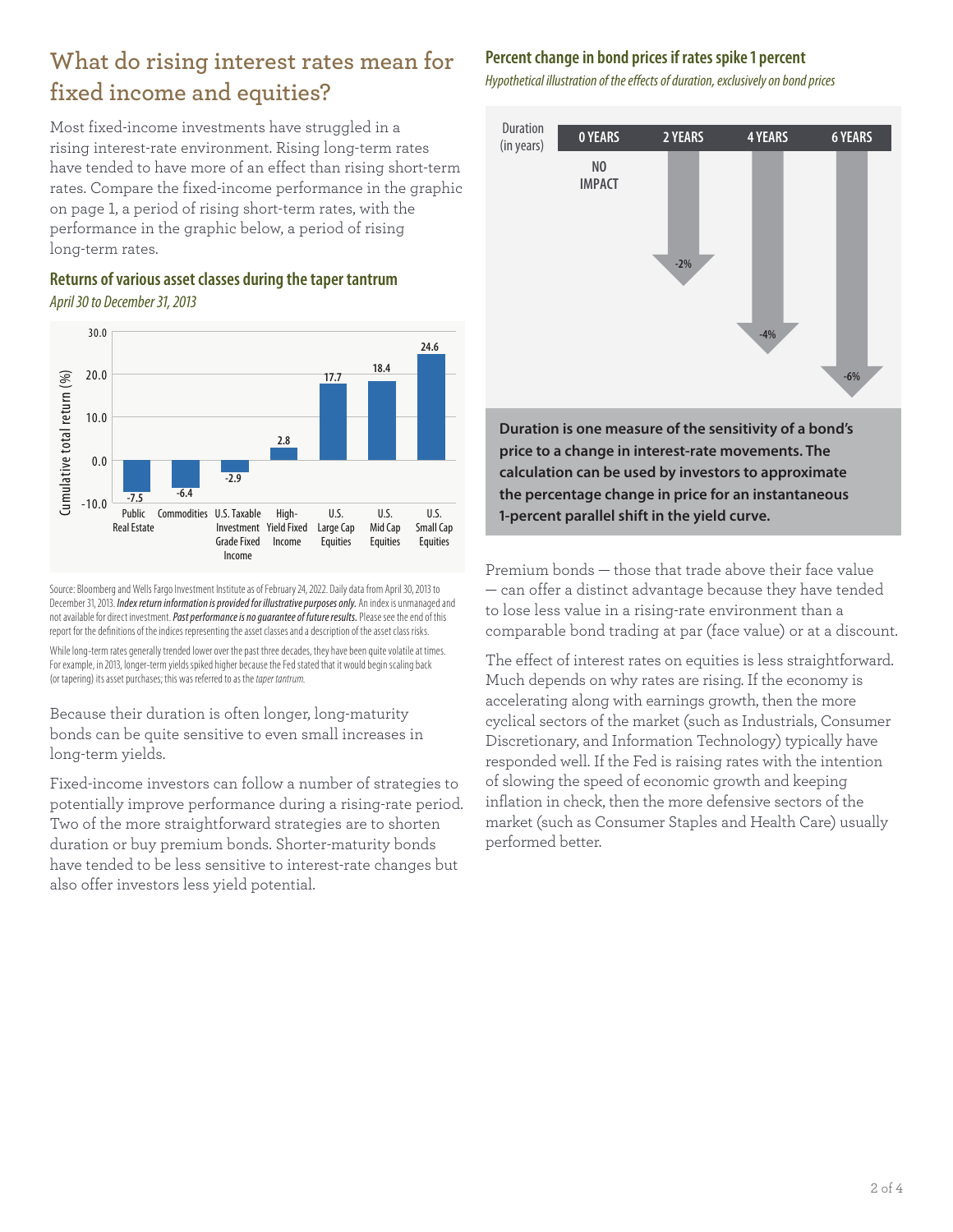## **What do rising interest rates mean for fixed income and equities?**

Most fixed-income investments have struggled in a rising interest-rate environment. Rising long-term rates have tended to have more of an effect than rising short-term rates. Compare the fixed-income performance in the graphic on page 1, a period of rising short-term rates, with the performance in the graphic below, a period of rising long-term rates.

**Returns of various asset classes during the taper tantrum** *April 30 to December 31, 2013*



Source: Bloomberg and Wells Fargo Investment Institute as of February 24, 2022. Daily data from April 30, 2013 to December 31, 2013. *Index return information is provided for illustrative purposes only.* An index is unmanaged and not available for direct investment. *Past performance is no guarantee of future results.* Please see the end of this report for the definitions of the indices representing the asset classes and a description of the asset class risks.

While long-term rates generally trended lower over the past three decades, they have been quite volatile at times. For example, in 2013, longer-term yields spiked higher because the Fed stated that it would begin scaling back (or tapering) its asset purchases; this was referred to as the *taper tantrum*.

Because their duration is often longer, long-maturity bonds can be quite sensitive to even small increases in long-term yields.

Fixed-income investors can follow a number of strategies to potentially improve performance during a rising-rate period. Two of the more straightforward strategies are to shorten duration or buy premium bonds. Shorter-maturity bonds have tended to be less sensitive to interest-rate changes but also offer investors less yield potential.

#### **Percent change in bond prices if rates spike 1 percent**

*Hypothetical illustration of the effects of duration, exclusively on bond prices*



**Duration is one measure of the sensitivity of a bond's price to a change in interest-rate movements. The calculation can be used by investors to approximate the percentage change in price for an instantaneous 1-percent parallel shift in the yield curve.**

Premium bonds — those that trade above their face value — can offer a distinct advantage because they have tended to lose less value in a rising-rate environment than a comparable bond trading at par (face value) or at a discount.

The effect of interest rates on equities is less straightforward. Much depends on why rates are rising. If the economy is accelerating along with earnings growth, then the more cyclical sectors of the market (such as Industrials, Consumer Discretionary, and Information Technology) typically have responded well. If the Fed is raising rates with the intention of slowing the speed of economic growth and keeping inflation in check, then the more defensive sectors of the market (such as Consumer Staples and Health Care) usually performed better.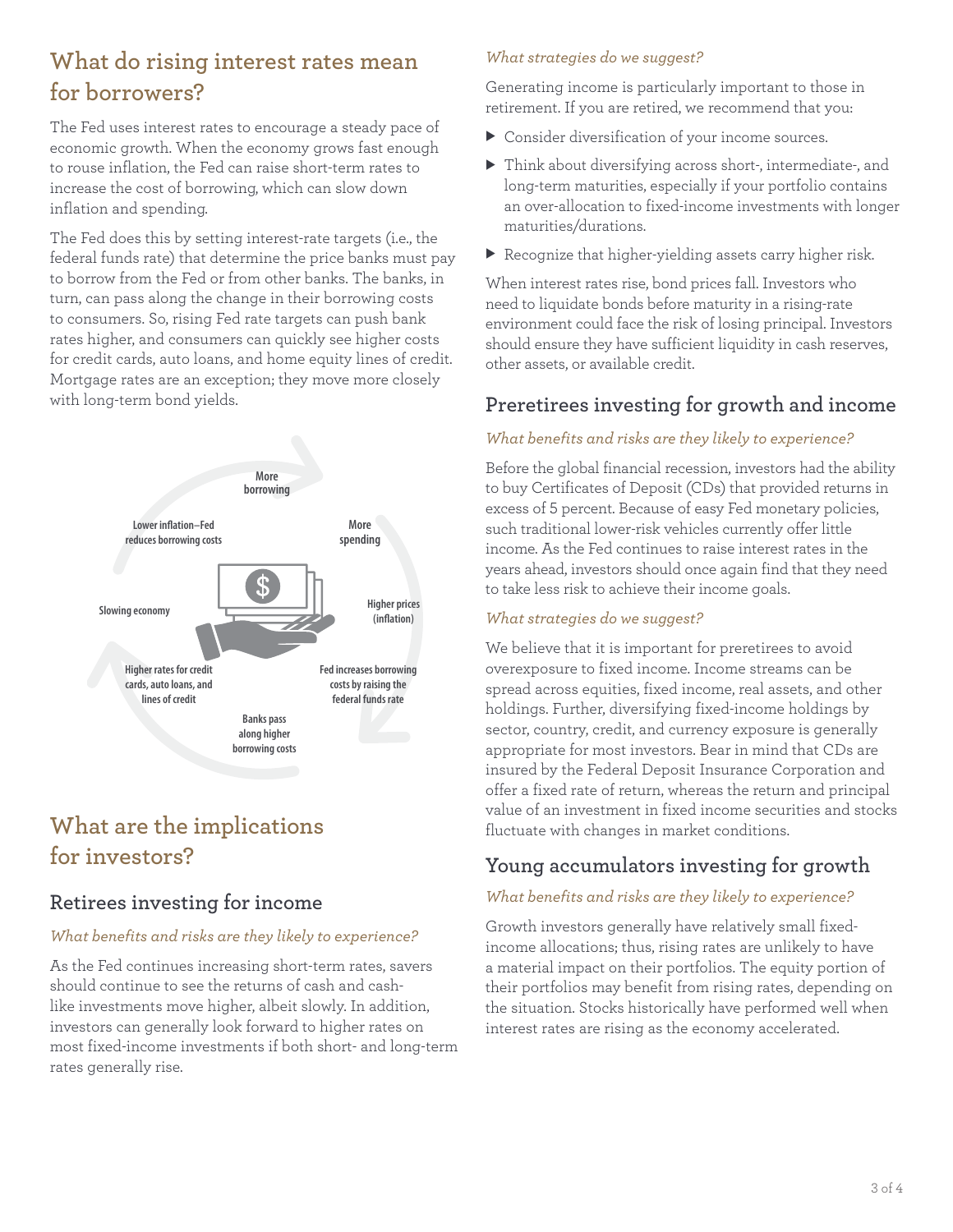## **What do rising interest rates mean for borrowers?**

The Fed uses interest rates to encourage a steady pace of economic growth. When the economy grows fast enough to rouse inflation, the Fed can raise short-term rates to increase the cost of borrowing, which can slow down inflation and spending.

The Fed does this by setting interest-rate targets (i.e., the federal funds rate) that determine the price banks must pay to borrow from the Fed or from other banks. The banks, in turn, can pass along the change in their borrowing costs to consumers. So, rising Fed rate targets can push bank rates higher, and consumers can quickly see higher costs for credit cards, auto loans, and home equity lines of credit. Mortgage rates are an exception; they move more closely with long-term bond yields.



## **What are the implications for investors?**

#### **Retirees investing for income**

#### *What benefits and risks are they likely to experience?*

As the Fed continues increasing short-term rates, savers should continue to see the returns of cash and cashlike investments move higher, albeit slowly. In addition, investors can generally look forward to higher rates on most fixed-income investments if both short- and long-term rates generally rise.

#### *What strategies do we suggest?*

Generating income is particularly important to those in retirement. If you are retired, we recommend that you:

- $\triangleright$  Consider diversification of your income sources.
- $\blacktriangleright$  Think about diversifying across short-, intermediate-, and long-term maturities, especially if your portfolio contains an over-allocation to fixed-income investments with longer maturities/durations.
- $\blacktriangleright$  Recognize that higher-yielding assets carry higher risk.

When interest rates rise, bond prices fall. Investors who need to liquidate bonds before maturity in a rising-rate environment could face the risk of losing principal. Investors should ensure they have sufficient liquidity in cash reserves, other assets, or available credit.

### **Preretirees investing for growth and income**

#### *What benefits and risks are they likely to experience?*

Before the global financial recession, investors had the ability to buy Certificates of Deposit (CDs) that provided returns in excess of 5 percent. Because of easy Fed monetary policies, such traditional lower-risk vehicles currently offer little income. As the Fed continues to raise interest rates in the years ahead, investors should once again find that they need to take less risk to achieve their income goals.

#### *What strategies do we suggest?*

We believe that it is important for preretirees to avoid overexposure to fixed income. Income streams can be spread across equities, fixed income, real assets, and other holdings. Further, diversifying fixed-income holdings by sector, country, credit, and currency exposure is generally appropriate for most investors. Bear in mind that CDs are insured by the Federal Deposit Insurance Corporation and offer a fixed rate of return, whereas the return and principal value of an investment in fixed income securities and stocks fluctuate with changes in market conditions.

### **Young accumulators investing for growth**

#### *What benefits and risks are they likely to experience?*

Growth investors generally have relatively small fixedincome allocations; thus, rising rates are unlikely to have a material impact on their portfolios. The equity portion of their portfolios may benefit from rising rates, depending on the situation. Stocks historically have performed well when interest rates are rising as the economy accelerated.